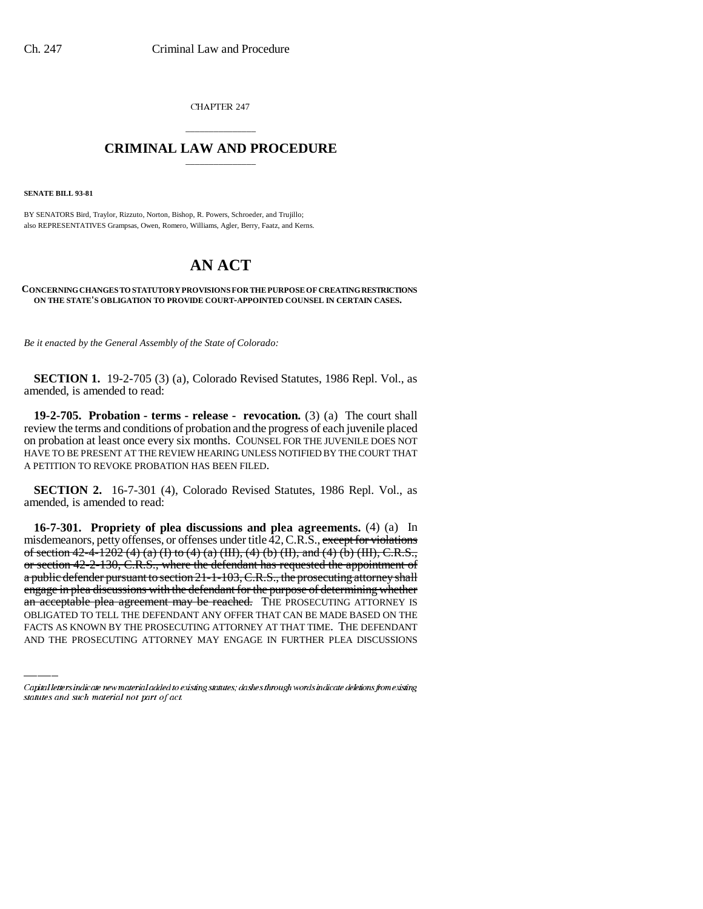CHAPTER 247

## \_\_\_\_\_\_\_\_\_\_\_\_\_\_\_ **CRIMINAL LAW AND PROCEDURE** \_\_\_\_\_\_\_\_\_\_\_\_\_\_\_

**SENATE BILL 93-81**

BY SENATORS Bird, Traylor, Rizzuto, Norton, Bishop, R. Powers, Schroeder, and Trujillo; also REPRESENTATIVES Grampsas, Owen, Romero, Williams, Agler, Berry, Faatz, and Kerns.

## **AN ACT**

## **CONCERNING CHANGES TO STATUTORY PROVISIONS FOR THE PURPOSE OF CREATING RESTRICTIONS ON THE STATE'S OBLIGATION TO PROVIDE COURT-APPOINTED COUNSEL IN CERTAIN CASES.**

*Be it enacted by the General Assembly of the State of Colorado:*

**SECTION 1.** 19-2-705 (3) (a), Colorado Revised Statutes, 1986 Repl. Vol., as amended, is amended to read:

**19-2-705. Probation - terms - release - revocation.** (3) (a) The court shall review the terms and conditions of probation and the progress of each juvenile placed on probation at least once every six months. COUNSEL FOR THE JUVENILE DOES NOT HAVE TO BE PRESENT AT THE REVIEW HEARING UNLESS NOTIFIED BY THE COURT THAT A PETITION TO REVOKE PROBATION HAS BEEN FILED.

**SECTION 2.** 16-7-301 (4), Colorado Revised Statutes, 1986 Repl. Vol., as amended, is amended to read:

engage in plea discussions with the defendant for the purpose of determining whether **16-7-301. Propriety of plea discussions and plea agreements.** (4) (a) In misdemeanors, petty offenses, or offenses under title  $42$ , C.R.S., except for violations of section 42-4-1202 (4) (a) (I) to (4) (a) (III), (4) (b) (II), and (4) (b) (III), C.R.S., or section 42-2-130, C.R.S., where the defendant has requested the appointment of a public defender pursuant to section 21-1-103, C.R.S., the prosecuting attorney shall an acceptable plea agreement may be reached. The PROSECUTING ATTORNEY IS OBLIGATED TO TELL THE DEFENDANT ANY OFFER THAT CAN BE MADE BASED ON THE FACTS AS KNOWN BY THE PROSECUTING ATTORNEY AT THAT TIME. THE DEFENDANT AND THE PROSECUTING ATTORNEY MAY ENGAGE IN FURTHER PLEA DISCUSSIONS

Capital letters indicate new material added to existing statutes; dashes through words indicate deletions from existing statutes and such material not part of act.